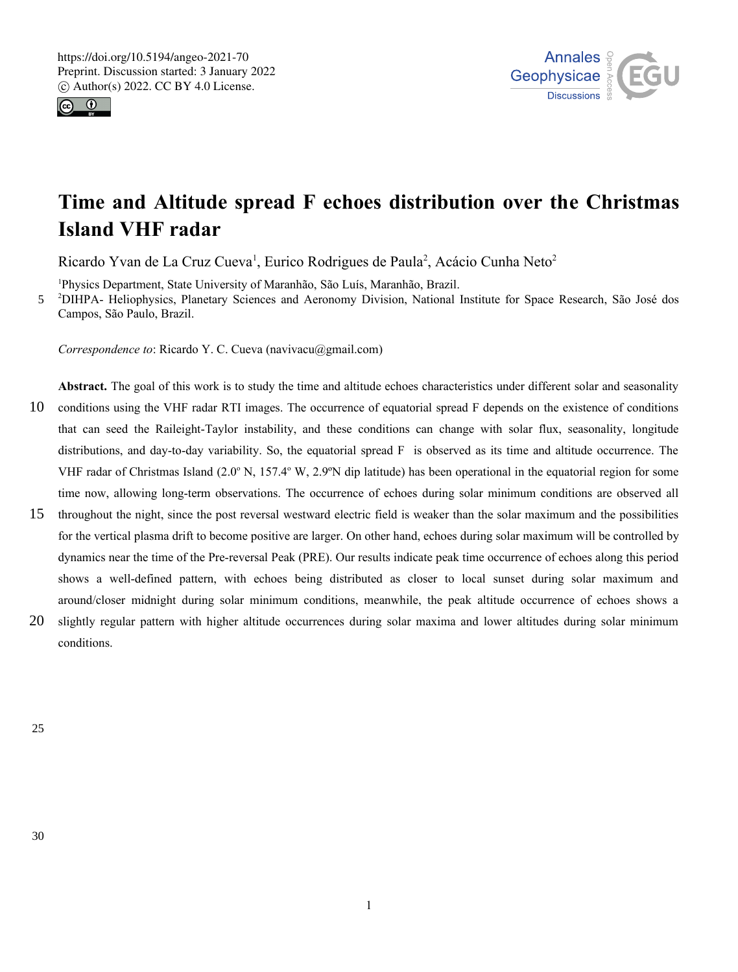



# **Time and Altitude spread F echoes distribution over the Christmas Island VHF radar**

Ricardo Yvan de La Cruz Cueva<sup>1</sup>, Eurico Rodrigues de Paula<sup>2</sup>, Acácio Cunha Neto<sup>2</sup>

<sup>1</sup>Physics Department, State University of Maranhão, São Luís, Maranhão, Brazil.

<sup>2</sup>DIHPA- Heliophysics, Planetary Sciences and Aeronomy Division, National Institute for Space Research, São José dos Campos, São Paulo, Brazil. 5

*Correspondence to*: Ricardo Y. C. Cueva (navivacu@gmail.com)

**Abstract.** The goal of this work is to study the time and altitude echoes characteristics under different solar and seasonality conditions using the VHF radar RTI images. The occurrence of equatorial spread F depends on the existence of conditions that can seed the Raileight-Taylor instability, and these conditions can change with solar flux, seasonality, longitude distributions, and day-to-day variability. So, the equatorial spread F is observed as its time and altitude occurrence. The VHF radar of Christmas Island  $(2.0^{\circ} \text{ N}, 157.4^{\circ} \text{ W}, 2.9^{\circ} \text{N}$  dip latitude) has been operational in the equatorial region for some time now, allowing long-term observations. The occurrence of echoes during solar minimum conditions are observed all 10

- throughout the night, since the post reversal westward electric field is weaker than the solar maximum and the possibilities for the vertical plasma drift to become positive are larger. On other hand, echoes during solar maximum will be controlled by dynamics near the time of the Pre-reversal Peak (PRE). Our results indicate peak time occurrence of echoes along this period shows a well-defined pattern, with echoes being distributed as closer to local sunset during solar maximum and around/closer midnight during solar minimum conditions, meanwhile, the peak altitude occurrence of echoes shows a 15
- slightly regular pattern with higher altitude occurrences during solar maxima and lower altitudes during solar minimum conditions. 20

25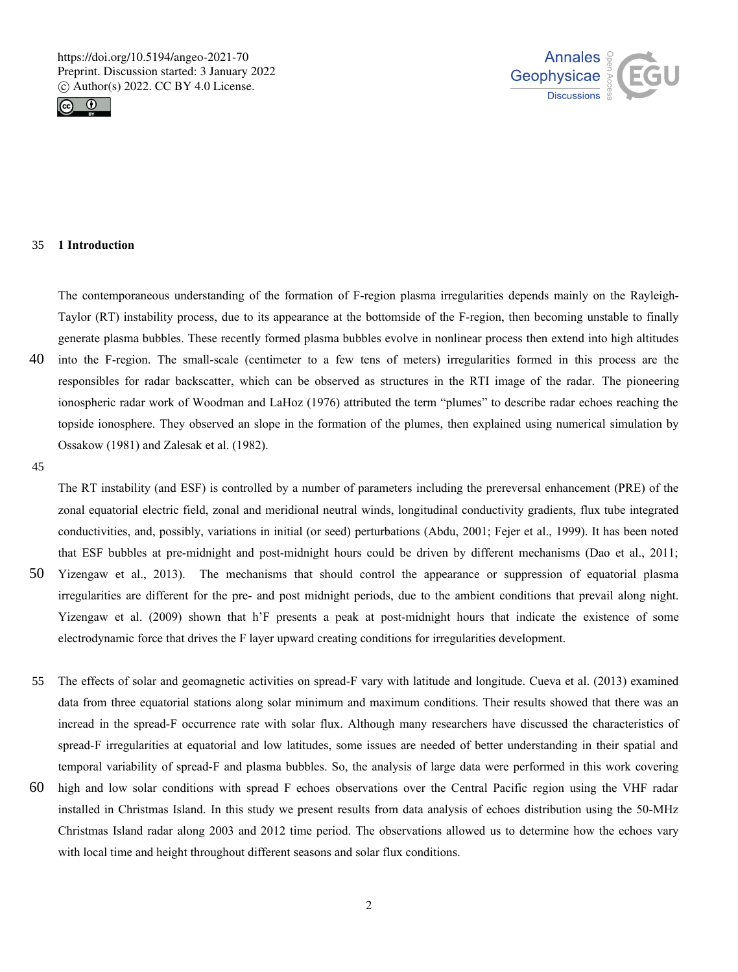



#### **1 Introduction** 35

The contemporaneous understanding of the formation of F-region plasma irregularities depends mainly on the Rayleigh-Taylor (RT) instability process, due to its appearance at the bottomside of the F-region, then becoming unstable to finally generate plasma bubbles. These recently formed plasma bubbles evolve in nonlinear process then extend into high altitudes into the F-region. The small-scale (centimeter to a few tens of meters) irregularities formed in this process are the

- responsibles for radar backscatter, which can be observed as structures in the RTI image of the radar. The pioneering ionospheric radar work of Woodman and LaHoz (1976) attributed the term "plumes" to describe radar echoes reaching the topside ionosphere. They observed an slope in the formation of the plumes, then explained using numerical simulation by Ossakow (1981) and Zalesak et al. (1982). 40
- 45

50

The RT instability (and ESF) is controlled by a number of parameters including the prereversal enhancement (PRE) of the zonal equatorial electric field, zonal and meridional neutral winds, longitudinal conductivity gradients, flux tube integrated conductivities, and, possibly, variations in initial (or seed) perturbations (Abdu, 2001; Fejer et al., 1999). It has been noted that ESF bubbles at pre-midnight and post-midnight hours could be driven by different mechanisms (Dao et al., 2011; Yizengaw et al., 2013). The mechanisms that should control the appearance or suppression of equatorial plasma irregularities are different for the pre- and post midnight periods, due to the ambient conditions that prevail along night. Yizengaw et al. (2009) shown that h'F presents a peak at post-midnight hours that indicate the existence of some

The effects of solar and geomagnetic activities on spread-F vary with latitude and longitude. Cueva et al. (2013) examined data from three equatorial stations along solar minimum and maximum conditions. Their results showed that there was an incread in the spread-F occurrence rate with solar flux. Although many researchers have discussed the characteristics of spread-F irregularities at equatorial and low latitudes, some issues are needed of better understanding in their spatial and temporal variability of spread-F and plasma bubbles. So, the analysis of large data were performed in this work covering 55

electrodynamic force that drives the F layer upward creating conditions for irregularities development.

high and low solar conditions with spread F echoes observations over the Central Pacific region using the VHF radar installed in Christmas Island. In this study we present results from data analysis of echoes distribution using the 50-MHz Christmas Island radar along 2003 and 2012 time period. The observations allowed us to determine how the echoes vary with local time and height throughout different seasons and solar flux conditions. 60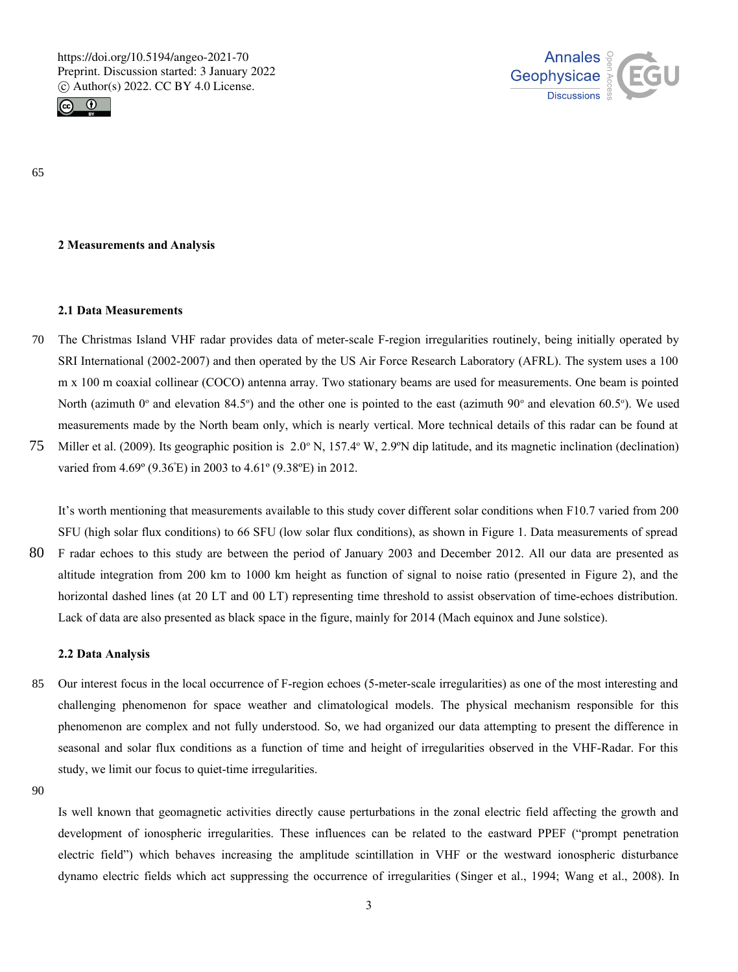



65

# **2 Measurements and Analysis**

### **2.1 Data Measurements**

- The Christmas Island VHF radar provides data of meter-scale F-region irregularities routinely, being initially operated by SRI International (2002-2007) and then operated by the US Air Force Research Laboratory (AFRL). The system uses a 100 m x 100 m coaxial collinear (COCO) antenna array. Two stationary beams are used for measurements. One beam is pointed North (azimuth  $0^{\circ}$  and elevation 84.5°) and the other one is pointed to the east (azimuth  $90^{\circ}$  and elevation 60.5°). We used measurements made by the North beam only, which is nearly vertical. More technical details of this radar can be found at Miller et al. (2009). Its geographic position is  $2.0^{\circ}$  N, 157.4 $^{\circ}$  W, 2.9 $^{\circ}$ N dip latitude, and its magnetic inclination (declination) 70 75
- varied from 4.69º (9.36<sup>º</sup>E) in 2003 to 4.61º (9.38ºE) in 2012.

It's worth mentioning that measurements available to this study cover different solar conditions when F10.7 varied from 200 SFU (high solar flux conditions) to 66 SFU (low solar flux conditions), as shown in Figure 1. Data measurements of spread F radar echoes to this study are between the period of January 2003 and December 2012. All our data are presented as altitude integration from 200 km to 1000 km height as function of signal to noise ratio (presented in Figure 2), and the horizontal dashed lines (at 20 LT and 00 LT) representing time threshold to assist observation of time-echoes distribution. Lack of data are also presented as black space in the figure, mainly for 2014 (Mach equinox and June solstice). 80

### **2.2 Data Analysis**

Our interest focus in the local occurrence of F-region echoes (5-meter-scale irregularities) as one of the most interesting and challenging phenomenon for space weather and climatological models. The physical mechanism responsible for this phenomenon are complex and not fully understood. So, we had organized our data attempting to present the difference in seasonal and solar flux conditions as a function of time and height of irregularities observed in the VHF-Radar. For this study, we limit our focus to quiet-time irregularities. 85

90

Is well known that geomagnetic activities directly cause perturbations in the zonal electric field affecting the growth and development of ionospheric irregularities. These influences can be related to the eastward PPEF ("prompt penetration electric field") which behaves increasing the amplitude scintillation in VHF or the westward ionospheric disturbance dynamo electric fields which act suppressing the occurrence of irregularities (Singer et al., 1994; Wang et al., 2008). In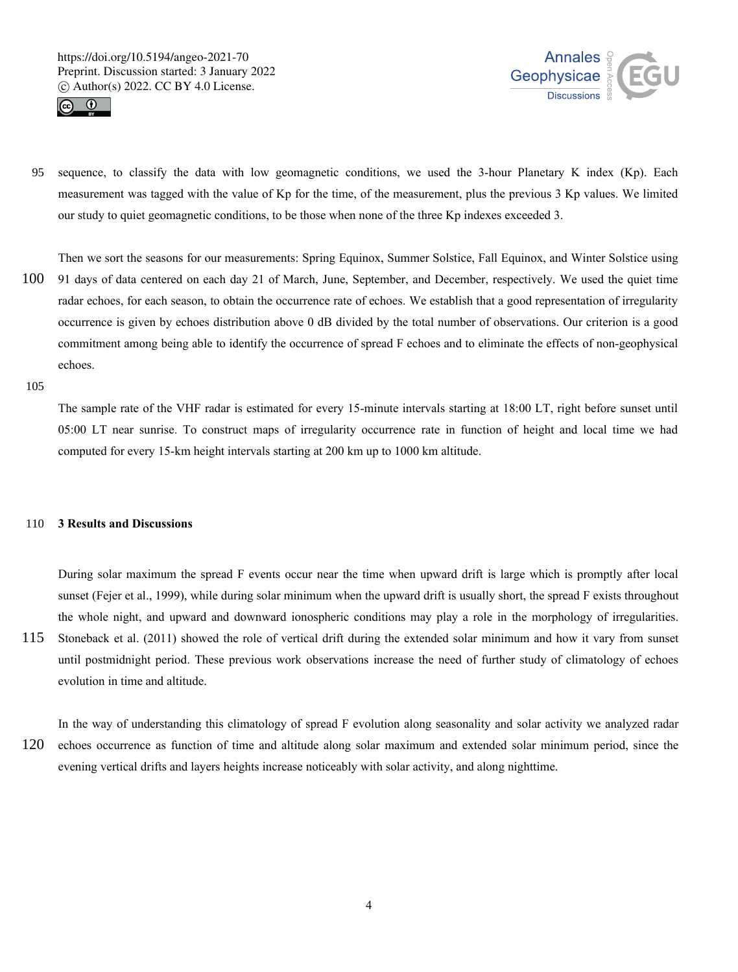



sequence, to classify the data with low geomagnetic conditions, we used the 3-hour Planetary K index (Kp). Each measurement was tagged with the value of Kp for the time, of the measurement, plus the previous 3 Kp values. We limited our study to quiet geomagnetic conditions, to be those when none of the three Kp indexes exceeded 3. 95

Then we sort the seasons for our measurements: Spring Equinox, Summer Solstice, Fall Equinox, and Winter Solstice using

91 days of data centered on each day 21 of March, June, September, and December, respectively. We used the quiet time radar echoes, for each season, to obtain the occurrence rate of echoes. We establish that a good representation of irregularity occurrence is given by echoes distribution above 0 dB divided by the total number of observations. Our criterion is a good commitment among being able to identify the occurrence of spread F echoes and to eliminate the effects of non-geophysical echoes. 100

105

The sample rate of the VHF radar is estimated for every 15-minute intervals starting at 18:00 LT, right before sunset until 05:00 LT near sunrise. To construct maps of irregularity occurrence rate in function of height and local time we had computed for every 15-km height intervals starting at 200 km up to 1000 km altitude.

#### **3 Results and Discussions** 110

During solar maximum the spread F events occur near the time when upward drift is large which is promptly after local sunset (Fejer et al., 1999), while during solar minimum when the upward drift is usually short, the spread F exists throughout the whole night, and upward and downward ionospheric conditions may play a role in the morphology of irregularities.

Stoneback et al. (2011) showed the role of vertical drift during the extended solar minimum and how it vary from sunset until postmidnight period. These previous work observations increase the need of further study of climatology of echoes evolution in time and altitude. 115

In the way of understanding this climatology of spread F evolution along seasonality and solar activity we analyzed radar echoes occurrence as function of time and altitude along solar maximum and extended solar minimum period, since the evening vertical drifts and layers heights increase noticeably with solar activity, and along nighttime. 120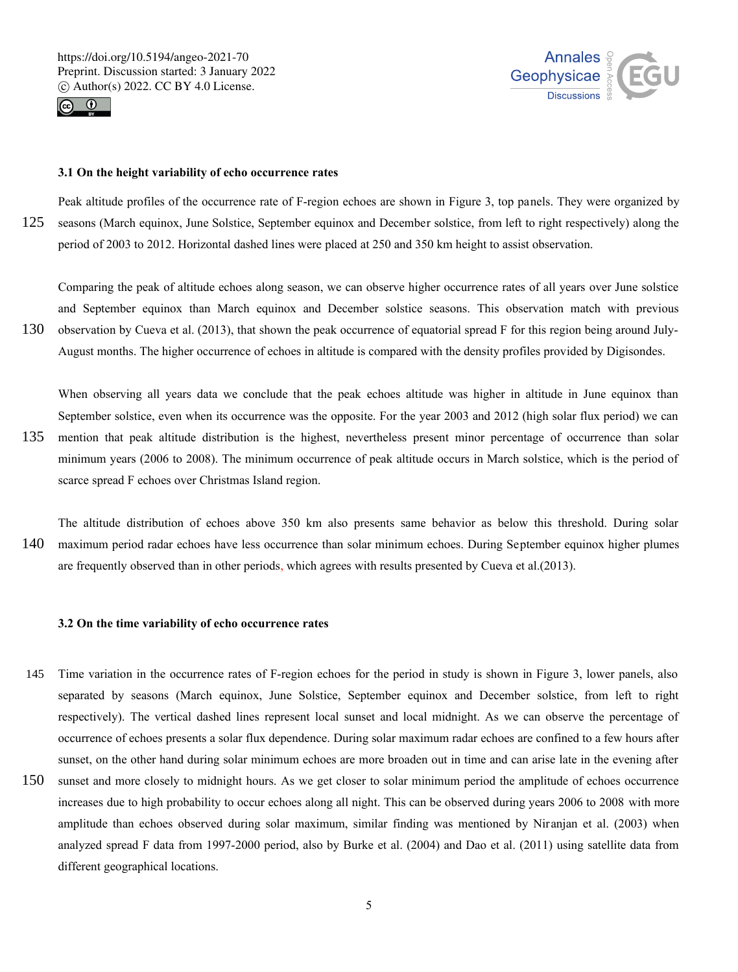

130



### **3.1 On the height variability of echo occurrence rates**

Peak altitude profiles of the occurrence rate of F-region echoes are shown in Figure 3, top panels. They were organized by seasons (March equinox, June Solstice, September equinox and December solstice, from left to right respectively) along the period of 2003 to 2012. Horizontal dashed lines were placed at 250 and 350 km height to assist observation. 125

Comparing the peak of altitude echoes along season, we can observe higher occurrence rates of all years over June solstice and September equinox than March equinox and December solstice seasons. This observation match with previous observation by Cueva et al. (2013), that shown the peak occurrence of equatorial spread F for this region being around July-

August months. The higher occurrence of echoes in altitude is compared with the density profiles provided by Digisondes.

When observing all years data we conclude that the peak echoes altitude was higher in altitude in June equinox than September solstice, even when its occurrence was the opposite. For the year 2003 and 2012 (high solar flux period) we can mention that peak altitude distribution is the highest, nevertheless present minor percentage of occurrence than solar

- minimum years (2006 to 2008). The minimum occurrence of peak altitude occurs in March solstice, which is the period of scarce spread F echoes over Christmas Island region. 135
- The altitude distribution of echoes above 350 km also presents same behavior as below this threshold. During solar maximum period radar echoes have less occurrence than solar minimum echoes. During September equinox higher plumes are frequently observed than in other periods, which agrees with results presented by Cueva et al.(2013). 140

#### **3.2 On the time variability of echo occurrence rates**

- Time variation in the occurrence rates of F-region echoes for the period in study is shown in Figure 3, lower panels, also separated by seasons (March equinox, June Solstice, September equinox and December solstice, from left to right respectively). The vertical dashed lines represent local sunset and local midnight. As we can observe the percentage of occurrence of echoes presents a solar flux dependence. During solar maximum radar echoes are confined to a few hours after sunset, on the other hand during solar minimum echoes are more broaden out in time and can arise late in the evening after 145
- sunset and more closely to midnight hours. As we get closer to solar minimum period the amplitude of echoes occurrence increases due to high probability to occur echoes along all night. This can be observed during years 2006 to 2008 with more amplitude than echoes observed during solar maximum, similar finding was mentioned by Niranjan et al. (2003) when analyzed spread F data from 1997-2000 period, also by Burke et al. (2004) and Dao et al. (2011) using satellite data from different geographical locations. 150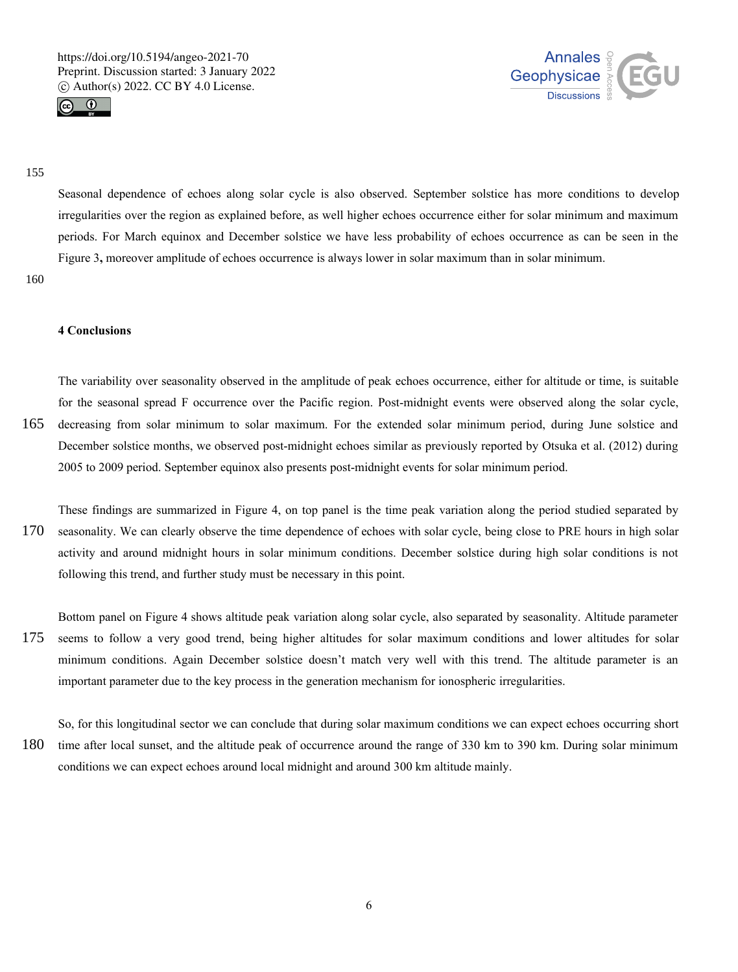



### 155

Seasonal dependence of echoes along solar cycle is also observed. September solstice has more conditions to develop irregularities over the region as explained before, as well higher echoes occurrence either for solar minimum and maximum periods. For March equinox and December solstice we have less probability of echoes occurrence as can be seen in the Figure 3, moreover amplitude of echoes occurrence is always lower in solar maximum than in solar minimum.

160

# **4 Conclusions**

The variability over seasonality observed in the amplitude of peak echoes occurrence, either for altitude or time, is suitable for the seasonal spread F occurrence over the Pacific region. Post-midnight events were observed along the solar cycle, decreasing from solar minimum to solar maximum. For the extended solar minimum period, during June solstice and December solstice months, we observed post-midnight echoes similar as previously reported by Otsuka et al. (2012) during 165

These findings are summarized in Figure 4, on top panel is the time peak variation along the period studied separated by seasonality. We can clearly observe the time dependence of echoes with solar cycle, being close to PRE hours in high solar activity and around midnight hours in solar minimum conditions. December solstice during high solar conditions is not following this trend, and further study must be necessary in this point. 170

2005 to 2009 period. September equinox also presents post-midnight events for solar minimum period.

Bottom panel on Figure 4 shows altitude peak variation along solar cycle, also separated by seasonality. Altitude parameter seems to follow a very good trend, being higher altitudes for solar maximum conditions and lower altitudes for solar minimum conditions. Again December solstice doesn't match very well with this trend. The altitude parameter is an important parameter due to the key process in the generation mechanism for ionospheric irregularities. 175

So, for this longitudinal sector we can conclude that during solar maximum conditions we can expect echoes occurring short time after local sunset, and the altitude peak of occurrence around the range of 330 km to 390 km. During solar minimum conditions we can expect echoes around local midnight and around 300 km altitude mainly. 180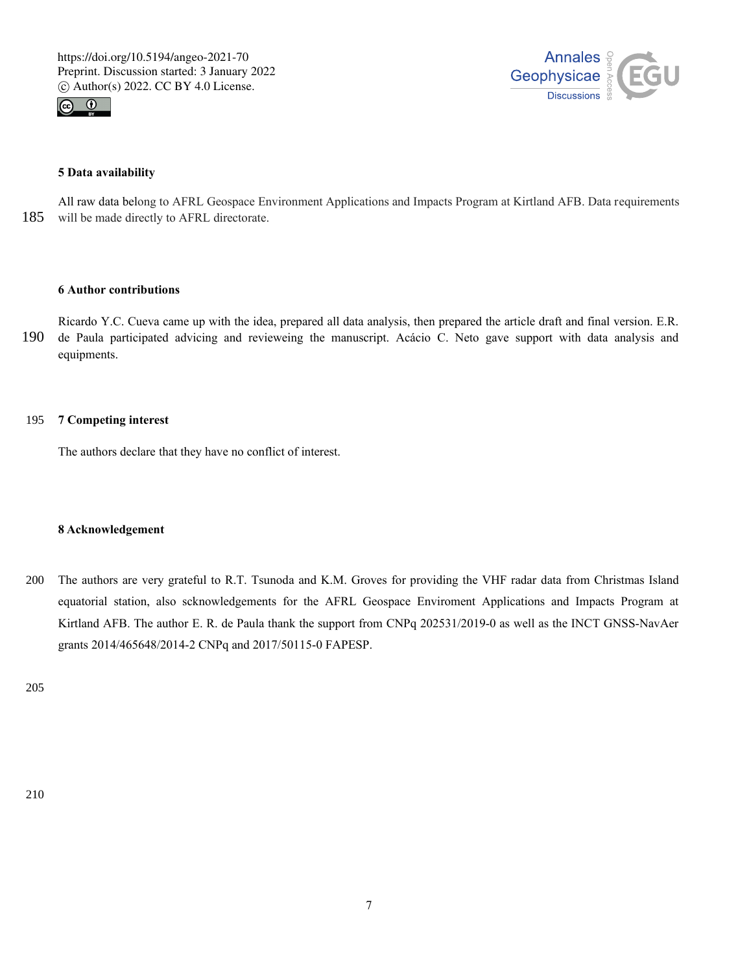



# **5 Data availability**

All raw data belong to AFRL Geospace Environment Applications and Impacts Program at Kirtland AFB. Data requirements will be made directly to AFRL directorate. 185

## **6 Author contributions**

Ricardo Y.C. Cueva came up with the idea, prepared all data analysis, then prepared the article draft and final version. E.R. de Paula participated advicing and revieweing the manuscript. Acácio C. Neto gave support with data analysis and equipments. 190

#### **7 Competing interest** 195

The authors declare that they have no conflict of interest.

### **8 Acknowledgement**

The authors are very grateful to R.T. Tsunoda and K.M. Groves for providing the VHF radar data from Christmas Island equatorial station, also scknowledgements for the AFRL Geospace Enviroment Applications and Impacts Program at Kirtland AFB. The author E. R. de Paula thank the support from CNPq 202531/2019-0 as well as the INCT GNSS-NavAer grants 2014/465648/2014-2 CNPq and 2017/50115-0 FAPESP. 200

205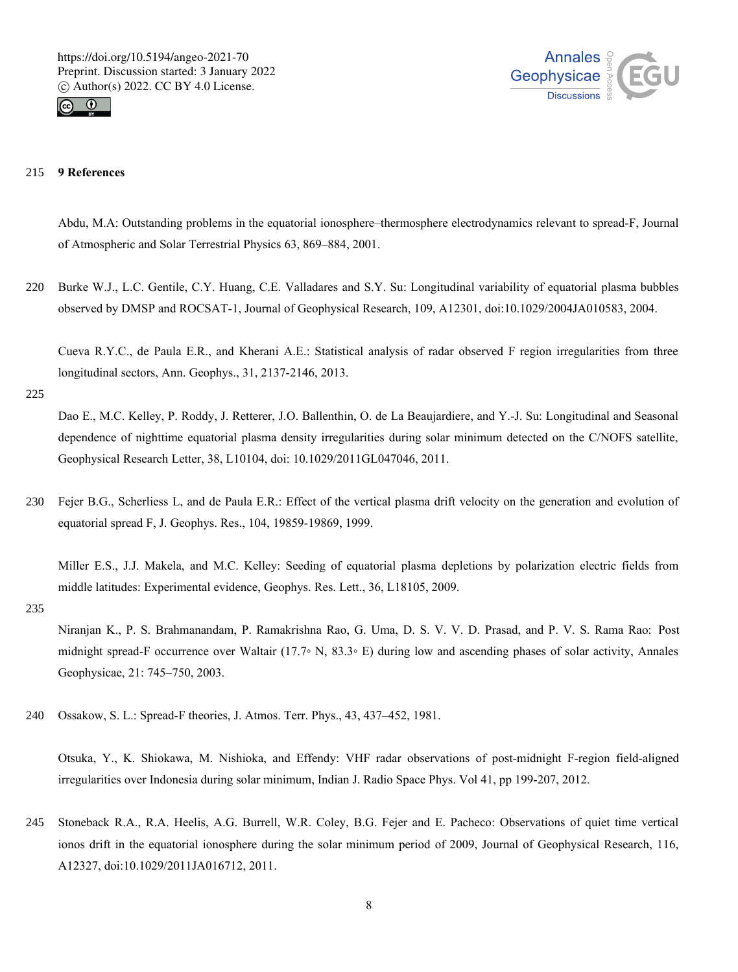



#### **9 References** 215

Abdu, M.A: Outstanding problems in the equatorial ionosphere–thermosphere electrodynamics relevant to spread-F, Journal of Atmospheric and Solar Terrestrial Physics 63, 869–884, 2001.

Burke W.J., L.C. Gentile, C.Y. Huang, C.E. Valladares and S.Y. Su: Longitudinal variability of equatorial plasma bubbles observed by DMSP and ROCSAT-1, Journal of Geophysical Research, 109, A12301, doi:10.1029/2004JA010583, 2004. 220

Cueva R.Y.C., de Paula E.R., and Kherani A.E.: Statistical analysis of radar observed F region irregularities from three longitudinal sectors, Ann. Geophys., 31, 2137-2146, 2013.

225

Dao E., M.C. Kelley, P. Roddy, J. Retterer, J.O. Ballenthin, O. de La Beaujardiere, and Y.-J. Su: Longitudinal and Seasonal dependence of nighttime equatorial plasma density irregularities during solar minimum detected on the C/NOFS satellite, Geophysical Research Letter, 38, L10104, doi: 10.1029/2011GL047046, 2011.

Fejer B.G., Scherliess L, and de Paula E.R.: Effect of the vertical plasma drift velocity on the generation and evolution of equatorial spread F, J. Geophys. Res., 104, 19859-19869, 1999. 230

Miller E.S., J.J. Makela, and M.C. Kelley: Seeding of equatorial plasma depletions by polarization electric fields from middle latitudes: Experimental evidence, Geophys. Res. Lett., 36, L18105, 2009.

235

Niranjan K., P. S. Brahmanandam, P. Ramakrishna Rao, G. Uma, D. S. V. V. D. Prasad, and P. V. S. Rama Rao: Post midnight spread-F occurrence over Waltair (17.7◦ N, 83.3◦ E) during low and ascending phases of solar activity, Annales Geophysicae, 21: 745–750, 2003.

Ossakow, S. L.: Spread-F theories, J. Atmos. Terr. Phys., 43, 437–452, 1981. 240

Otsuka, Y., K. Shiokawa, M. Nishioka, and Effendy: VHF radar observations of post-midnight F-region field-aligned irregularities over Indonesia during solar minimum, Indian J. Radio Space Phys. Vol 41, pp 199-207, 2012.

Stoneback R.A., R.A. Heelis, A.G. Burrell, W.R. Coley, B.G. Fejer and E. Pacheco: Observations of quiet time vertical ionos drift in the equatorial ionosphere during the solar minimum period of 2009, Journal of Geophysical Research, 116, A12327, doi:10.1029/2011JA016712, 2011. 245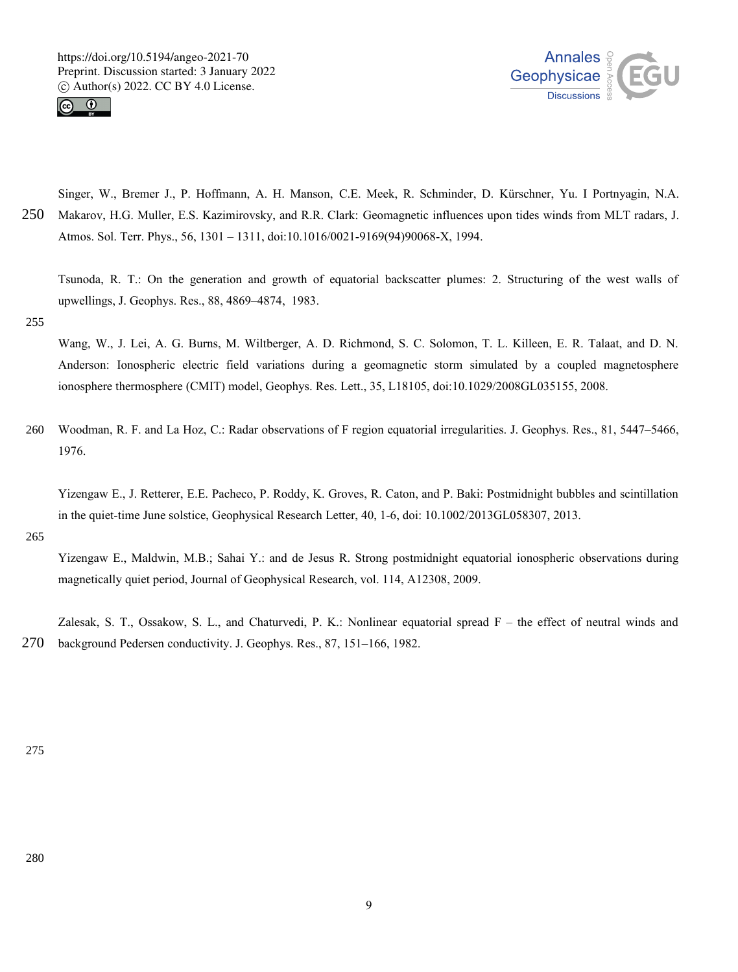



Singer, W., Bremer J., P. Hoffmann, A. H. Manson, C.E. Meek, R. Schminder, D. Kürschner, Yu. I Portnyagin, N.A. Makarov, H.G. Muller, E.S. Kazimirovsky, and R.R. Clark: Geomagnetic influences upon tides winds from MLT radars, J. Atmos. Sol. Terr. Phys., 56, 1301 – 1311, doi:10.1016/0021-9169(94)90068-X, 1994. 250

Tsunoda, R. T.: On the generation and growth of equatorial backscatter plumes: 2. Structuring of the west walls of upwellings, J. Geophys. Res., 88, 4869–4874, 1983.

#### 255

Wang, W., J. Lei, A. G. Burns, M. Wiltberger, A. D. Richmond, S. C. Solomon, T. L. Killeen, E. R. Talaat, and D. N. Anderson: Ionospheric electric field variations during a geomagnetic storm simulated by a coupled magnetosphere ionosphere thermosphere (CMIT) model, Geophys. Res. Lett., 35, L18105, doi:10.1029/2008GL035155, 2008.

Woodman, R. F. and La Hoz, C.: Radar observations of F region equatorial irregularities. J. Geophys. Res., 81, 5447–5466, 1976. 260

Yizengaw E., J. Retterer, E.E. Pacheco, P. Roddy, K. Groves, R. Caton, and P. Baki: Postmidnight bubbles and scintillation in the quiet-time June solstice, Geophysical Research Letter, 40, 1-6, doi: 10.1002/2013GL058307, 2013.

265

Yizengaw E., Maldwin, M.B.; Sahai Y.: and de Jesus R. Strong postmidnight equatorial ionospheric observations during magnetically quiet period, Journal of Geophysical Research, vol. 114, A12308, 2009.

Zalesak, S. T., Ossakow, S. L., and Chaturvedi, P. K.: Nonlinear equatorial spread F – the effect of neutral winds and background Pedersen conductivity. J. Geophys. Res., 87, 151–166, 1982. 270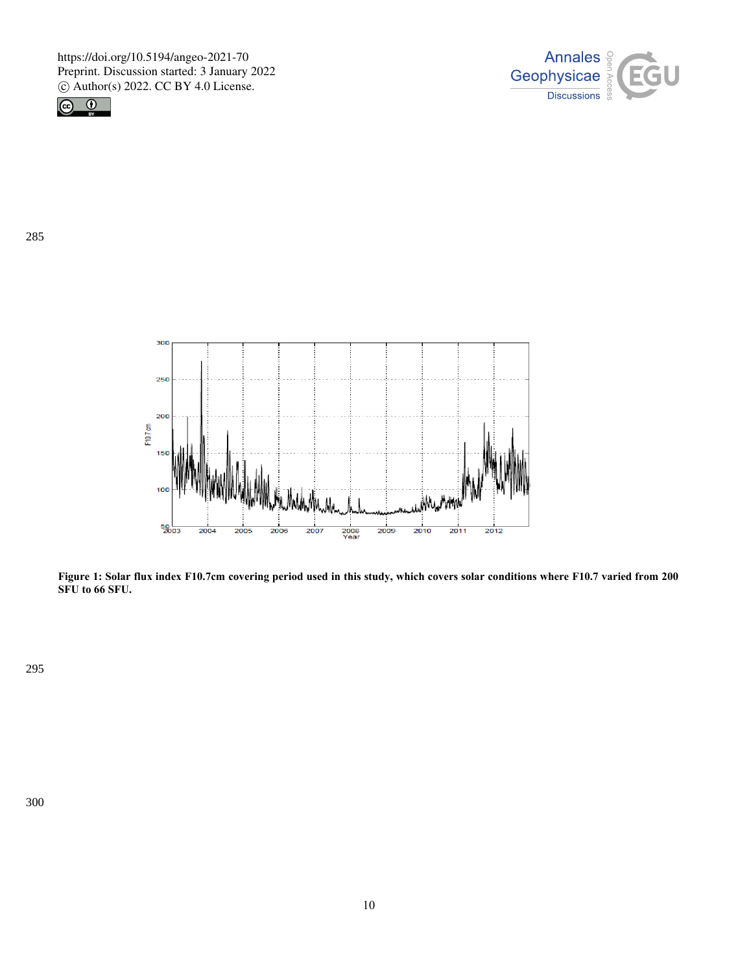



285



**Figure 1: Solar flux index F10.7cm covering period used in this study, which covers solar conditions where F10.7 varied from 200 SFU to 66 SFU.**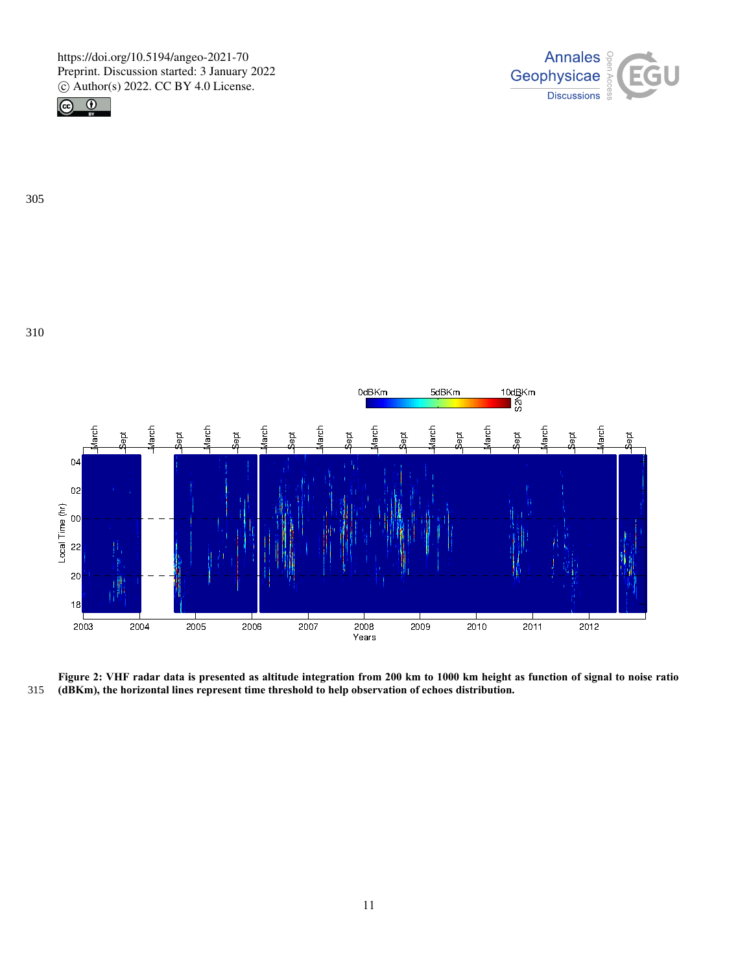







**Figure 2: VHF radar data is presented as altitude integration from 200 km to 1000 km height as function of signal to noise ratio (dBKm), the horizontal lines represent time threshold to help observation of echoes distribution.**  315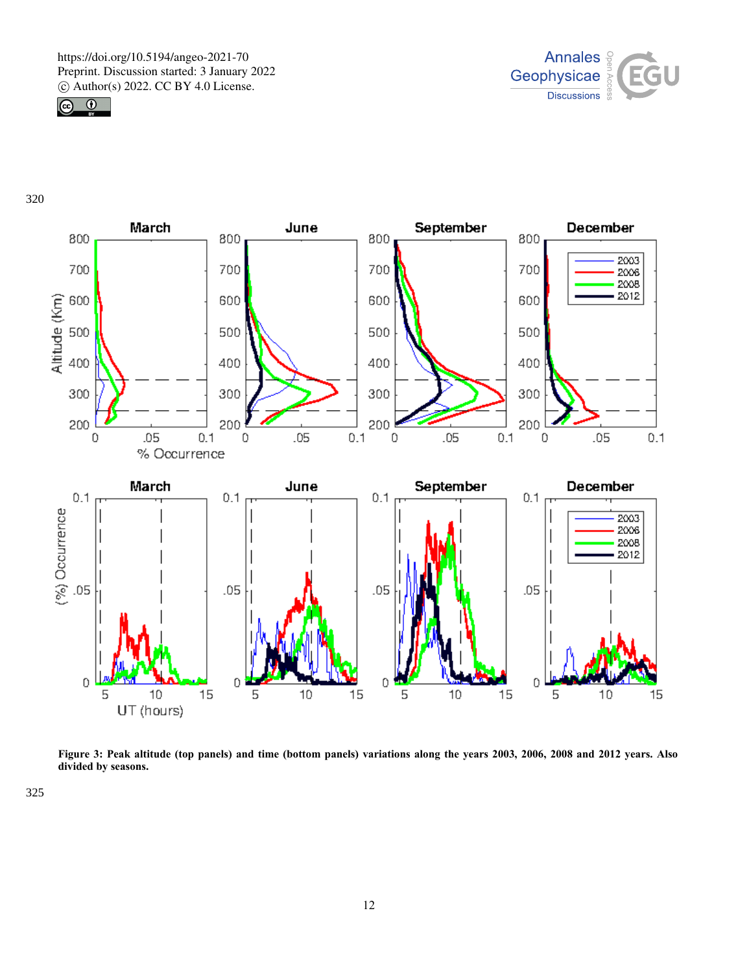



320



**Figure 3: Peak altitude (top panels) and time (bottom panels) variations along the years 2003, 2006, 2008 and 2012 years. Also divided by seasons.**